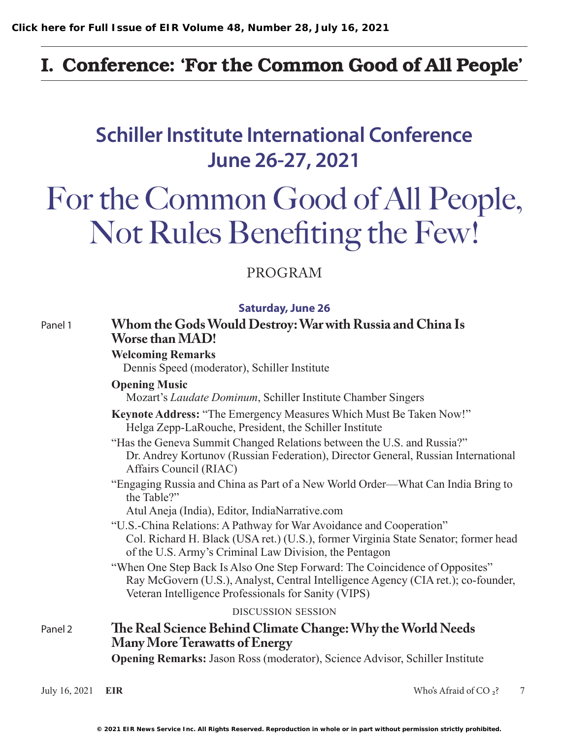### I. Conference: 'For the Common Good of All People'

## **Schiller Institute International Conference June 26-27, 2021**

# For the Common Good of All People, Not Rules Benefiting the Few!

#### PROGRAM

| <b>Saturday, June 26</b> |  |  |
|--------------------------|--|--|
|                          |  |  |

| Panel 1 | Whom the Gods Would Destroy: War with Russia and China Is<br><b>Worse than MAD!</b><br><b>Welcoming Remarks</b><br>Dennis Speed (moderator), Schiller Institute<br><b>Opening Music</b><br>Mozart's Laudate Dominum, Schiller Institute Chamber Singers                |  |  |  |  |
|---------|------------------------------------------------------------------------------------------------------------------------------------------------------------------------------------------------------------------------------------------------------------------------|--|--|--|--|
|         |                                                                                                                                                                                                                                                                        |  |  |  |  |
|         |                                                                                                                                                                                                                                                                        |  |  |  |  |
|         | Keynote Address: "The Emergency Measures Which Must Be Taken Now!"<br>Helga Zepp-LaRouche, President, the Schiller Institute                                                                                                                                           |  |  |  |  |
|         | "Has the Geneva Summit Changed Relations between the U.S. and Russia?"<br>Dr. Andrey Kortunov (Russian Federation), Director General, Russian International<br>Affairs Council (RIAC)                                                                                  |  |  |  |  |
|         | "Engaging Russia and China as Part of a New World Order—What Can India Bring to<br>the Table?"                                                                                                                                                                         |  |  |  |  |
|         | Atul Aneja (India), Editor, IndiaNarrative.com<br>"U.S.-China Relations: A Pathway for War Avoidance and Cooperation"<br>Col. Richard H. Black (USA ret.) (U.S.), former Virginia State Senator; former head<br>of the U.S. Army's Criminal Law Division, the Pentagon |  |  |  |  |
|         | "When One Step Back Is Also One Step Forward: The Coincidence of Opposites"<br>Ray McGovern (U.S.), Analyst, Central Intelligence Agency (CIA ret.); co-founder,<br>Veteran Intelligence Professionals for Sanity (VIPS)                                               |  |  |  |  |
|         | <b>DISCUSSION SESSION</b>                                                                                                                                                                                                                                              |  |  |  |  |
| Panel 2 | The Real Science Behind Climate Change: Why the World Needs<br><b>Many More Terawatts of Energy</b>                                                                                                                                                                    |  |  |  |  |
|         | <b>Opening Remarks:</b> Jason Ross (moderator), Science Advisor, Schiller Institute                                                                                                                                                                                    |  |  |  |  |

July 16, 2021 **EIR** 7 *Who's Afraid of CO <sub>2</sub>?* 7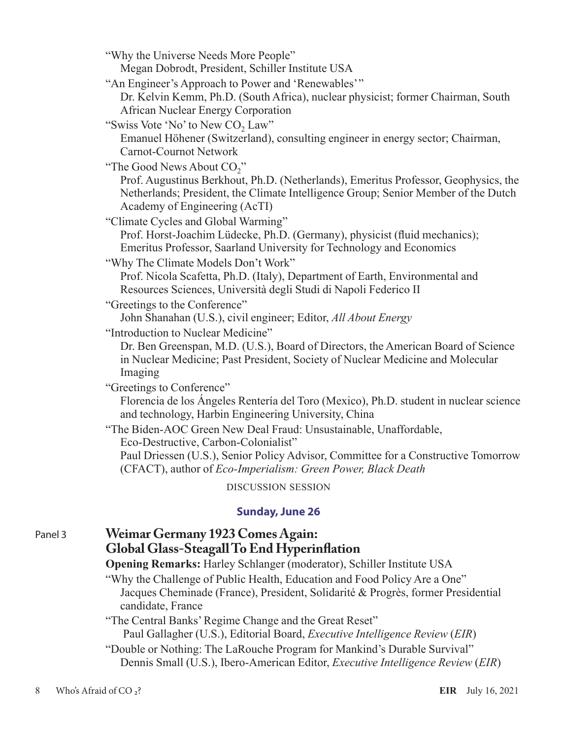"Why the Universe Needs More People"

Megan Dobrodt, President, Schiller Institute USA

"An Engineer's Approach to Power and 'Renewables'"

Dr. Kelvin Kemm, Ph.D. (South Africa), nuclear physicist; former Chairman, South African Nuclear Energy Corporation

"Swiss Vote 'No' to New  $CO<sub>2</sub>$  Law"

Emanuel Höhener (Switzerland), consulting engineer in energy sector; Chairman, Carnot-Cournot Network

"The Good News About CO<sub>2</sub>"

Prof. Augustinus Berkhout, Ph.D. (Netherlands), Emeritus Professor, Geophysics, the Netherlands; President, the Climate Intelligence Group; Senior Member of the Dutch Academy of Engineering (AcTI)

"Climate Cycles and Global Warming"

Prof. Horst-Joachim Lüdecke, Ph.D. (Germany), physicist (fluid mechanics); Emeritus Professor, Saarland University for Technology and Economics

"Why The Climate Models Don't Work"

Prof. Nicola Scafetta, Ph.D. (Italy), Department of Earth, Environmental and Resources Sciences, Università degli Studi di Napoli Federico II

"Greetings to the Conference"

John Shanahan (U.S.), civil engineer; Editor, *All About Energy*

"Introduction to Nuclear Medicine"

Dr. Ben Greenspan, M.D. (U.S.), Board of Directors, the American Board of Science in Nuclear Medicine; Past President, Society of Nuclear Medicine and Molecular Imaging

"Greetings to Conference"

Florencia de los Ángeles Rentería del Toro (Mexico), Ph.D. student in nuclear science and technology, Harbin Engineering University, China

"The Biden-AOC Green New Deal Fraud: Unsustainable, Unaffordable, Eco-Destructive, Carbon-Colonialist"

Paul Driessen (U.S.), Senior Policy Advisor, Committee for a Constructive Tomorrow (CFACT), author of *Eco-Imperialism: Green Power, Black Death*

DISCUSSION SESSION

#### **Sunday, June 26**

#### Panel 3 **Weimar Germany 1923 Comes Again: Global Glass-Steagall To End Hyperinflation**

**Opening Remarks:** Harley Schlanger (moderator), Schiller Institute USA

"Why the Challenge of Public Health, Education and Food Policy Are a One" Jacques Cheminade (France), President, Solidarité & Progrès, former Presidential candidate, France

"The Central Banks' Regime Change and the Great Reset"

Paul Gallagher (U.S.), Editorial Board, *Executive Intelligence Review* (*EIR*)

"Double or Nothing: The LaRouche Program for Mankind's Durable Survival" Dennis Small (U.S.), Ibero-American Editor, *Executive Intelligence Review* (*EIR*)